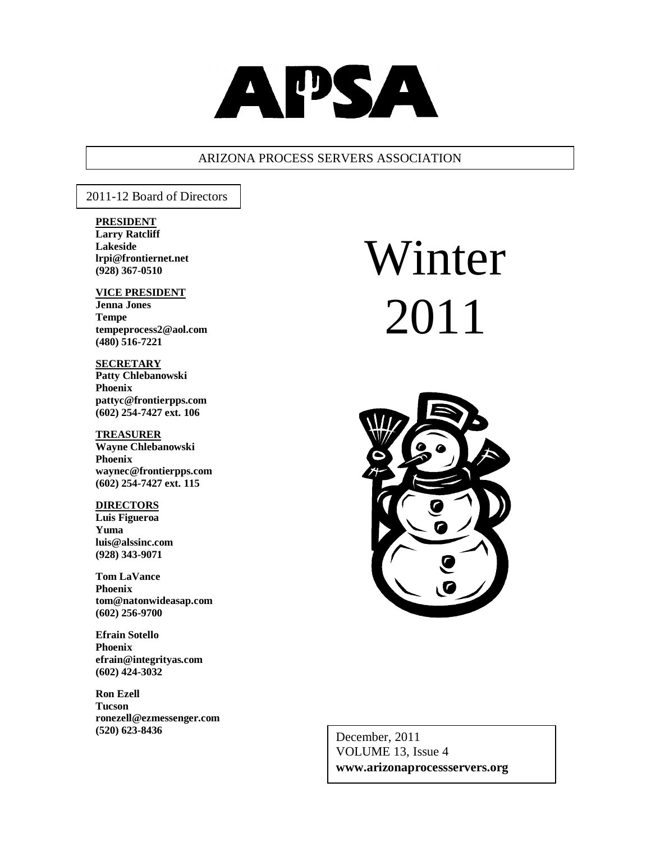

## ARIZONA PROCESS SERVERS ASSOCIATION

2011-12 Board of Directors

#### **PRESIDENT**

**Larry Ratcliff Lakeside lrpi@frontiernet.net (928) 367-0510**

#### **VICE PRESIDENT Jenna Jones**

**Tempe tempeprocess2@aol.com (480) 516-7221**

#### **SECRETARY**

**Patty Chlebanowski Phoenix pattyc@frontierpps.com (602) 254-7427 ext. 106**

#### **TREASURER**

**Wayne Chlebanowski Phoenix waynec@frontierpps.com (602) 254-7427 ext. 115**

#### **DIRECTORS**

**Luis Figueroa Yuma luis@alssinc.com (928) 343-9071**

**Tom LaVance Phoenix tom@natonwideasap.com (602) 256-9700**

**Efrain Sotello Phoenix efrain@integrityas.com (602) 424-3032**

**Ron Ezell Tucson ronezell@ezmessenger.com (520) 623-8436**

# Winter 2011



 December, 2011 VOLUME 13, Issue 4 **www.arizonaprocessservers.org**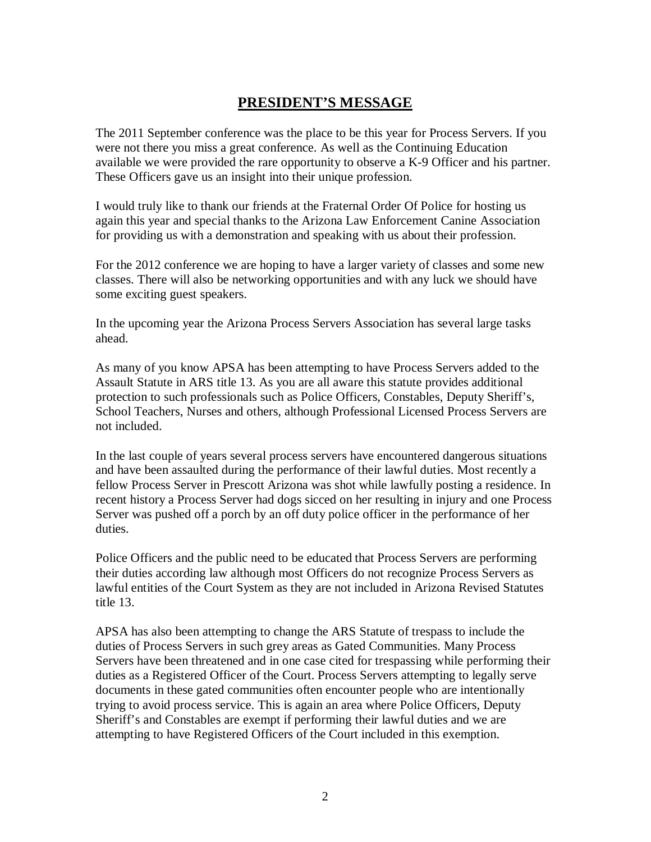## **PRESIDENT'S MESSAGE**

The 2011 September conference was the place to be this year for Process Servers. If you were not there you miss a great conference. As well as the Continuing Education available we were provided the rare opportunity to observe a K-9 Officer and his partner. These Officers gave us an insight into their unique profession.

I would truly like to thank our friends at the Fraternal Order Of Police for hosting us again this year and special thanks to the Arizona Law Enforcement Canine Association for providing us with a demonstration and speaking with us about their profession.

For the 2012 conference we are hoping to have a larger variety of classes and some new classes. There will also be networking opportunities and with any luck we should have some exciting guest speakers.

In the upcoming year the Arizona Process Servers Association has several large tasks ahead.

As many of you know APSA has been attempting to have Process Servers added to the Assault Statute in ARS title 13. As you are all aware this statute provides additional protection to such professionals such as Police Officers, Constables, Deputy Sheriff's, School Teachers, Nurses and others, although Professional Licensed Process Servers are not included.

In the last couple of years several process servers have encountered dangerous situations and have been assaulted during the performance of their lawful duties. Most recently a fellow Process Server in Prescott Arizona was shot while lawfully posting a residence. In recent history a Process Server had dogs sicced on her resulting in injury and one Process Server was pushed off a porch by an off duty police officer in the performance of her duties.

Police Officers and the public need to be educated that Process Servers are performing their duties according law although most Officers do not recognize Process Servers as lawful entities of the Court System as they are not included in Arizona Revised Statutes title 13.

APSA has also been attempting to change the ARS Statute of trespass to include the duties of Process Servers in such grey areas as Gated Communities. Many Process Servers have been threatened and in one case cited for trespassing while performing their duties as a Registered Officer of the Court. Process Servers attempting to legally serve documents in these gated communities often encounter people who are intentionally trying to avoid process service. This is again an area where Police Officers, Deputy Sheriff's and Constables are exempt if performing their lawful duties and we are attempting to have Registered Officers of the Court included in this exemption.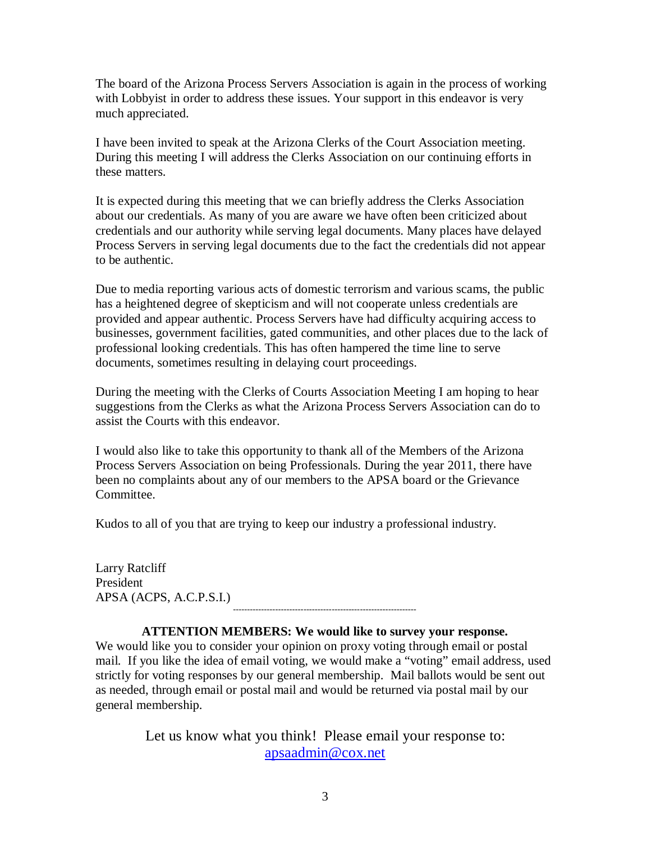The board of the Arizona Process Servers Association is again in the process of working with Lobbyist in order to address these issues. Your support in this endeavor is very much appreciated.

I have been invited to speak at the Arizona Clerks of the Court Association meeting. During this meeting I will address the Clerks Association on our continuing efforts in these matters.

It is expected during this meeting that we can briefly address the Clerks Association about our credentials. As many of you are aware we have often been criticized about credentials and our authority while serving legal documents. Many places have delayed Process Servers in serving legal documents due to the fact the credentials did not appear to be authentic.

Due to media reporting various acts of domestic terrorism and various scams, the public has a heightened degree of skepticism and will not cooperate unless credentials are provided and appear authentic. Process Servers have had difficulty acquiring access to businesses, government facilities, gated communities, and other places due to the lack of professional looking credentials. This has often hampered the time line to serve documents, sometimes resulting in delaying court proceedings.

During the meeting with the Clerks of Courts Association Meeting I am hoping to hear suggestions from the Clerks as what the Arizona Process Servers Association can do to assist the Courts with this endeavor.

I would also like to take this opportunity to thank all of the Members of the Arizona Process Servers Association on being Professionals. During the year 2011, there have been no complaints about any of our members to the APSA board or the Grievance Committee.

Kudos to all of you that are trying to keep our industry a professional industry.

Larry Ratcliff President APSA (ACPS, A.C.P.S.I.) -----------------------------------------------------------------

#### **ATTENTION MEMBERS: We would like to survey your response.**

We would like you to consider your opinion on proxy voting through email or postal mail. If you like the idea of email voting, we would make a "voting" email address, used strictly for voting responses by our general membership. Mail ballots would be sent out as needed, through email or postal mail and would be returned via postal mail by our general membership.

> Let us know what you think! Please email your response to: apsaadmin@cox.net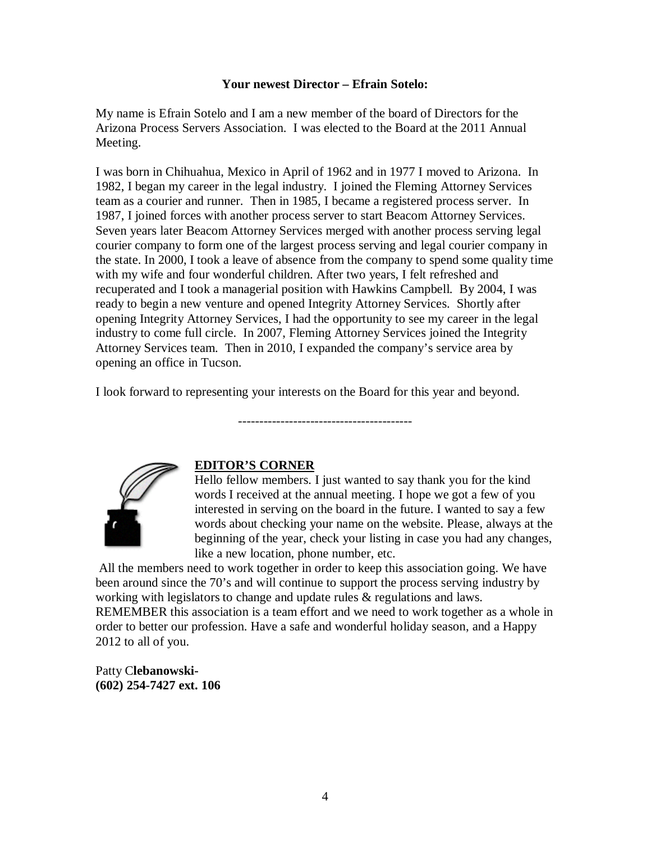#### **Your newest Director – Efrain Sotelo:**

My name is Efrain Sotelo and I am a new member of the board of Directors for the Arizona Process Servers Association. I was elected to the Board at the 2011 Annual Meeting.

I was born in Chihuahua, Mexico in April of 1962 and in 1977 I moved to Arizona. In 1982, I began my career in the legal industry. I joined the Fleming Attorney Services team as a courier and runner. Then in 1985, I became a registered process server. In 1987, I joined forces with another process server to start Beacom Attorney Services. Seven years later Beacom Attorney Services merged with another process serving legal courier company to form one of the largest process serving and legal courier company in the state. In 2000, I took a leave of absence from the company to spend some quality time with my wife and four wonderful children. After two years, I felt refreshed and recuperated and I took a managerial position with Hawkins Campbell. By 2004, I was ready to begin a new venture and opened Integrity Attorney Services. Shortly after opening Integrity Attorney Services, I had the opportunity to see my career in the legal industry to come full circle. In 2007, Fleming Attorney Services joined the Integrity Attorney Services team. Then in 2010, I expanded the company's service area by opening an office in Tucson.

I look forward to representing your interests on the Board for this year and beyond.

-----------------------------------------



#### **EDITOR'S CORNER**

Hello fellow members. I just wanted to say thank you for the kind words I received at the annual meeting. I hope we got a few of you interested in serving on the board in the future. I wanted to say a few words about checking your name on the website. Please, always at the beginning of the year, check your listing in case you had any changes, like a new location, phone number, etc.

All the members need to work together in order to keep this association going. We have been around since the 70's and will continue to support the process serving industry by working with legislators to change and update rules & regulations and laws. REMEMBER this association is a team effort and we need to work together as a whole in

order to better our profession. Have a safe and wonderful holiday season, and a Happy 2012 to all of you.

Patty C**lebanowski- (602) 254-7427 ext. 106**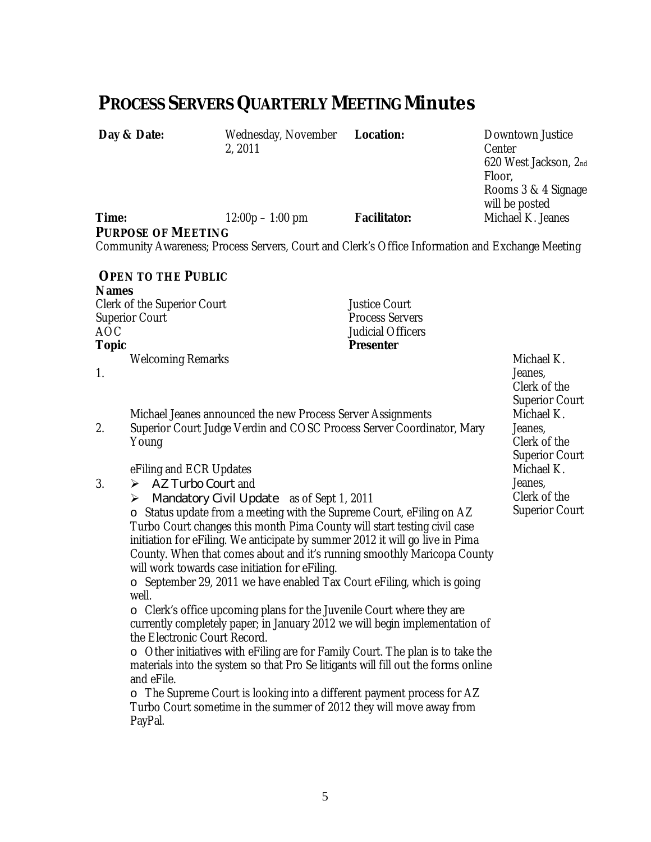# **PROCESS SERVERS QUARTERLY MEETING Minutes**

Day & Date: Wednesday, November 2, 2011

**Location: Downtown Justice** Center 620 West Jackson, 2nd Floor, Rooms 3 & 4 Signage will be posted<br>Michael K. Jeanes

**Time: 12:00p – 1:00 pm Facilitator:** 

**PURPOSE OF MEETING** 

Community Awareness; Process Servers, Court and Clerk's Office Information and Exchange Meeting

## **OPEN TO THE PUBLIC**

**Names** 

Clerk of the Superior Court **Court** Justice Court Superior Court **Process** Servers AOC Judicial Officers Welcoming Remarks **Michael K.** The Michael K.

**Presenter** 

1.

3.

Michael Jeanes announced the new Process Server Assignments

2. Superior Court Judge Verdin and COSC Process Server Coordinator, Mary Young

eFiling and ECR Updates

- $\triangleright$  AZ Turbo Court and
- Mandatory Civil Update as of Sept 1, 2011

o Status update from a meeting with the Supreme Court, eFiling on AZ Turbo Court changes this month Pima County will start testing civil case initiation for eFiling. We anticipate by summer 2012 it will go live in Pima County. When that comes about and it's running smoothly Maricopa County will work towards case initiation for eFiling.

o September 29, 2011 we have enabled Tax Court eFiling, which is going well.

o Clerk's office upcoming plans for the Juvenile Court where they are currently completely paper; in January 2012 we will begin implementation of the Electronic Court Record.

o Other initiatives with eFiling are for Family Court. The plan is to take the materials into the system so that Pro Se litigants will fill out the forms online and eFile.

o The Supreme Court is looking into a different payment process for AZ Turbo Court sometime in the summer of 2012 they will move away from PayPal.

Jeanes, Clerk of the Superior Court Michael K. Jeanes, Clerk of the Superior Court Michael K. Jeanes, Clerk of the Superior Court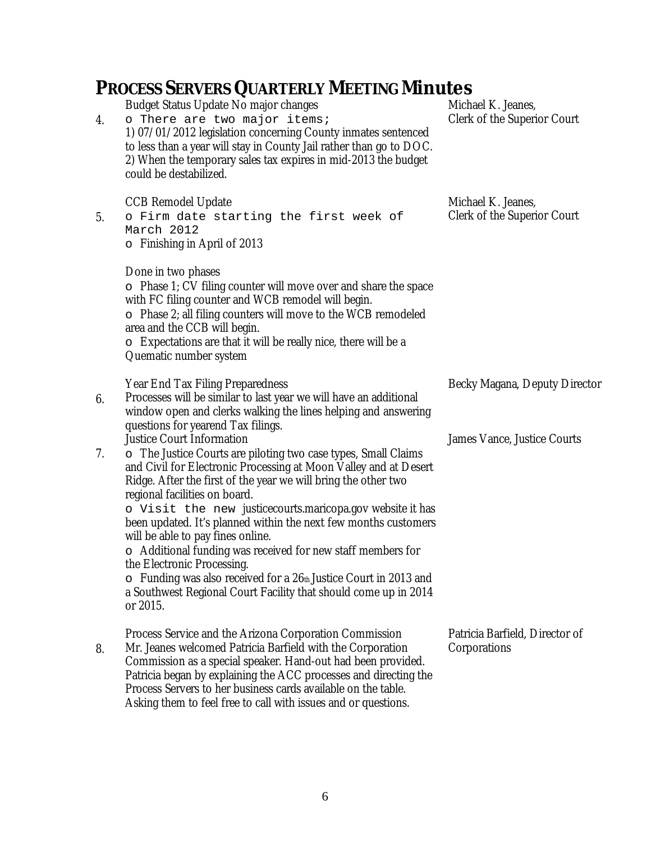#### **PROCESS SERVERS QUARTERLY MEETING Minutes** 4. Budget Status Update No major changes o There are two major items; 1) 07/01/2012 legislation concerning County inmates sentenced to less than a year will stay in County Jail rather than go to DOC. 2) When the temporary sales tax expires in mid-2013 the budget could be destabilized. Michael K. Jeanes, Clerk of the Superior Court 5. CCB Remodel Update o Firm date starting the first week of March 2012 o Finishing in April of 2013 Done in two phases o Phase 1; CV filing counter will move over and share the space with FC filing counter and WCB remodel will begin. o Phase 2; all filing counters will move to the WCB remodeled area and the CCB will begin. o Expectations are that it will be really nice, there will be a Quematic number system Michael K. Jeanes, Clerk of the Superior Court 6. Year End Tax Filing Preparedness Processes will be similar to last year we will have an additional window open and clerks walking the lines helping and answering questions for yearend Tax filings. Becky Magana, Deputy Director 7. Justice Court Information o The Justice Courts are piloting two case types, Small Claims and Civil for Electronic Processing at Moon Valley and at Desert Ridge. After the first of the year we will bring the other two regional facilities on board. o Visit the new justicecourts.maricopa.gov website it has been updated. It's planned within the next few months customers will be able to pay fines online. o Additional funding was received for new staff members for the Electronic Processing.  $\circ$  Funding was also received for a 26th Justice Court in 2013 and a Southwest Regional Court Facility that should come up in 2014 or 2015. James Vance, Justice Courts 8. Process Service and the Arizona Corporation Commission Mr. Jeanes welcomed Patricia Barfield with the Corporation Commission as a special speaker. Hand-out had been provided. Patricia began by explaining the ACC processes and directing the Process Servers to her business cards available on the table. Asking them to feel free to call with issues and or questions. Patricia Barfield, Director of **Corporations**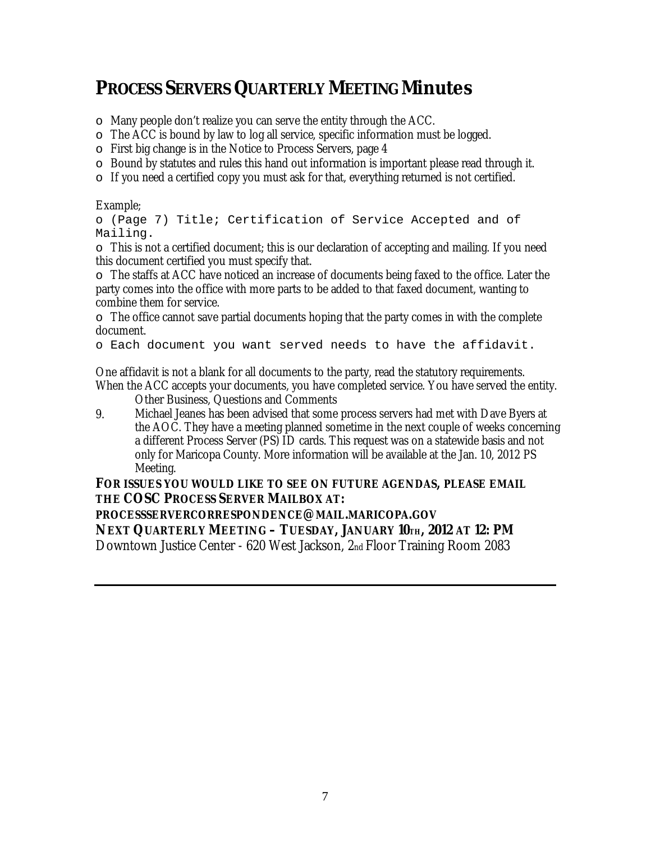# **PROCESS SERVERS QUARTERLY MEETING Minutes**

- o Many people don't realize you can serve the entity through the ACC.
- o The ACC is bound by law to log all service, specific information must be logged.
- o First big change is in the Notice to Process Servers, page 4
- o Bound by statutes and rules this hand out information is important please read through it.
- $\circ$  If you need a certified copy you must ask for that, everything returned is not certified.

### Example;

o (Page 7) Title; Certification of Service Accepted and of Mailing.

 $\circ$  This is not a certified document; this is our declaration of accepting and mailing. If you need this document certified you must specify that.

o The staffs at ACC have noticed an increase of documents being faxed to the office. Later the party comes into the office with more parts to be added to that faxed document, wanting to combine them for service.

 $\circ$  The office cannot save partial documents hoping that the party comes in with the complete document.

o Each document you want served needs to have the affidavit.

One affidavit is not a blank for all documents to the party, read the statutory requirements. When the ACC accepts your documents, you have completed service. You have served the entity.

Other Business, Questions and Comments

9. Michael Jeanes has been advised that some process servers had met with Dave Byers at the AOC. They have a meeting planned sometime in the next couple of weeks concerning a different Process Server (PS) ID cards. This request was on a statewide basis and not only for Maricopa County. More information will be available at the Jan. 10, 2012 PS Meeting.

## **FOR ISSUES YOU WOULD LIKE TO SEE ON FUTURE AGENDAS, PLEASE EMAIL THE COSC PROCESS SERVER MAILBOX AT:**

**PROCESSSERVERCORRESPONDENCE@MAIL.MARICOPA.GOV NEXT QUARTERLY MEETING – TUESDAY, JANUARY 10TH, 2012 AT 12: PM**  Downtown Justice Center - 620 West Jackson, 2nd Floor Training Room 2083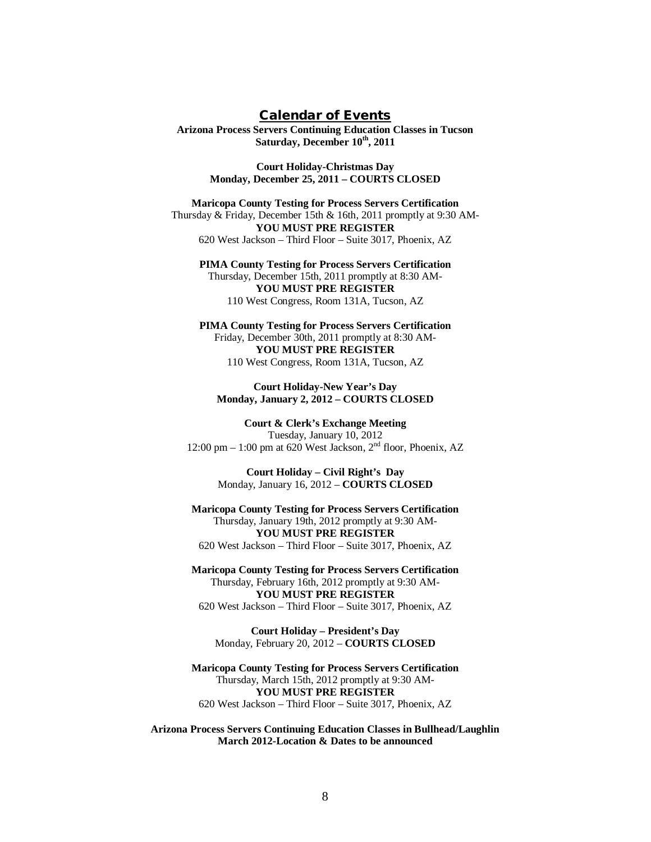#### **Calendar of Events**

**Arizona Process Servers Continuing Education Classes in Tucson Saturday, December 10th, 2011**

> **Court Holiday-Christmas Day Monday, December 25, 2011 – COURTS CLOSED**

**Maricopa County Testing for Process Servers Certification** Thursday & Friday, December 15th & 16th, 2011 promptly at 9:30 AM-**YOU MUST PRE REGISTER** 620 West Jackson – Third Floor – Suite 3017, Phoenix, AZ

**PIMA County Testing for Process Servers Certification** Thursday, December 15th, 2011 promptly at 8:30 AM-**YOU MUST PRE REGISTER** 110 West Congress, Room 131A, Tucson, AZ

**PIMA County Testing for Process Servers Certification** Friday, December 30th, 2011 promptly at 8:30 AM-**YOU MUST PRE REGISTER** 110 West Congress, Room 131A, Tucson, AZ

#### **Court Holiday-New Year's Day Monday, January 2, 2012 – COURTS CLOSED**

**Court & Clerk's Exchange Meeting** Tuesday, January 10, 2012 12:00 pm – 1:00 pm at 620 West Jackson,  $2<sup>nd</sup>$  floor, Phoenix, AZ

> **Court Holiday – Civil Right's Day** Monday, January 16, 2012 – **COURTS CLOSED**

**Maricopa County Testing for Process Servers Certification** Thursday, January 19th, 2012 promptly at 9:30 AM-**YOU MUST PRE REGISTER** 620 West Jackson – Third Floor – Suite 3017, Phoenix, AZ

**Maricopa County Testing for Process Servers Certification** Thursday, February 16th, 2012 promptly at 9:30 AM-**YOU MUST PRE REGISTER** 620 West Jackson – Third Floor – Suite 3017, Phoenix, AZ

**Court Holiday – President's Day** Monday, February 20, 2012 – **COURTS CLOSED**

**Maricopa County Testing for Process Servers Certification** Thursday, March 15th, 2012 promptly at 9:30 AM-**YOU MUST PRE REGISTER** 620 West Jackson – Third Floor – Suite 3017, Phoenix, AZ

**Arizona Process Servers Continuing Education Classes in Bullhead/Laughlin March 2012-Location & Dates to be announced**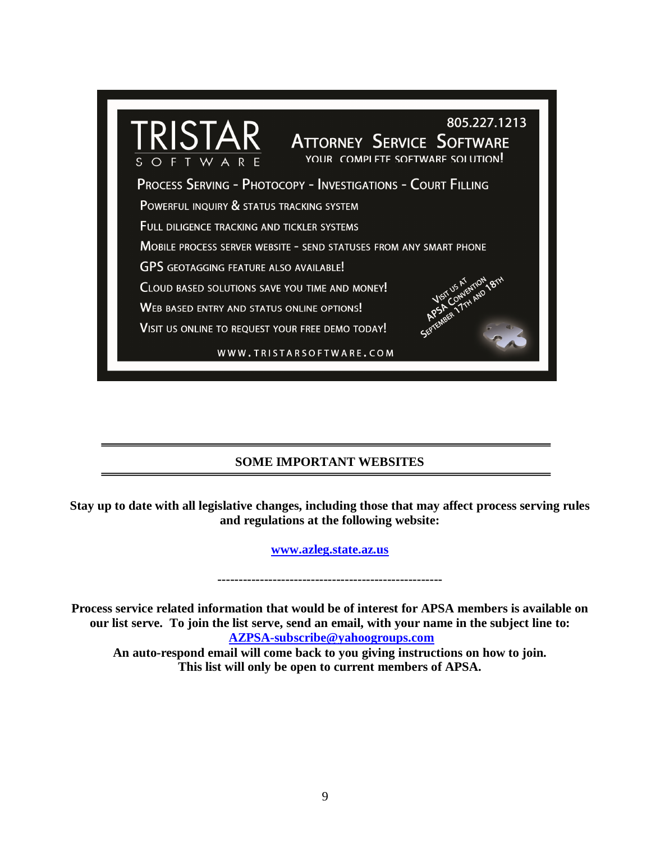

## **SOME IMPORTANT WEBSITES**

**Stay up to date with all legislative changes, including those that may affect process serving rules and regulations at the following website:**

**www.azleg.state.az.us**

**-----------------------------------------------------**

**Process service related information that would be of interest for APSA members is available on our list serve. To join the list serve, send an email, with your name in the subject line to: AZPSA-subscribe@yahoogroups.com**

**An auto-respond email will come back to you giving instructions on how to join. This list will only be open to current members of APSA.**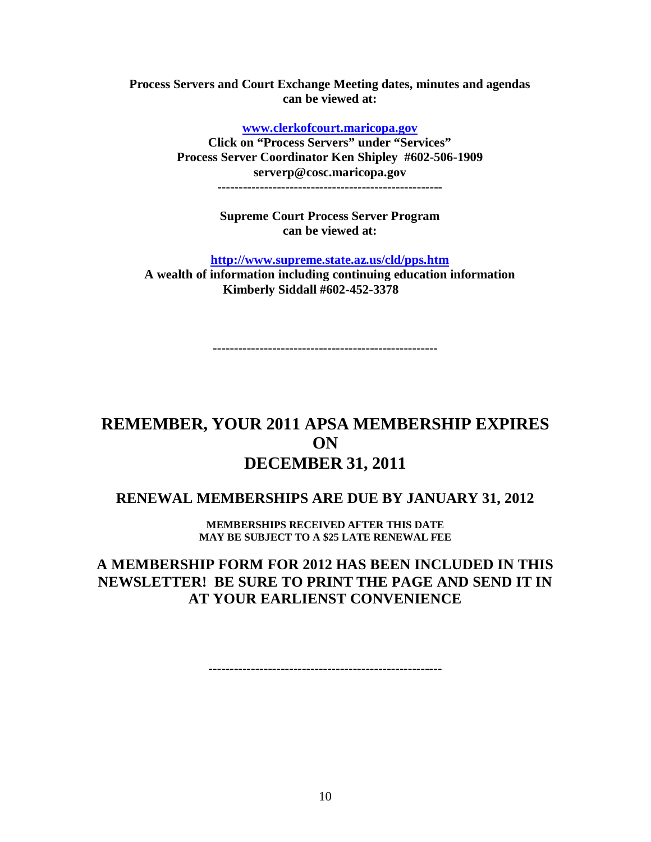**Process Servers and Court Exchange Meeting dates, minutes and agendas can be viewed at:**

**www.clerkofcourt.maricopa.gov**

**Click on "Process Servers" under "Services" Process Server Coordinator Ken Shipley #602-506-1909 serverp@cosc.maricopa.gov -----------------------------------------------------**

**Supreme Court Process Server Program can be viewed at:**

**http://www.supreme.state.az.us/cld/pps.htm**

**A wealth of information including continuing education information Kimberly Siddall #602-452-3378**

**-----------------------------------------------------**

## **REMEMBER, YOUR 2011 APSA MEMBERSHIP EXPIRES ON DECEMBER 31, 2011**

## **RENEWAL MEMBERSHIPS ARE DUE BY JANUARY 31, 2012**

**MEMBERSHIPS RECEIVED AFTER THIS DATE MAY BE SUBJECT TO A \$25 LATE RENEWAL FEE**

## **A MEMBERSHIP FORM FOR 2012 HAS BEEN INCLUDED IN THIS NEWSLETTER! BE SURE TO PRINT THE PAGE AND SEND IT IN AT YOUR EARLIENST CONVENIENCE**

**-------------------------------------------------------**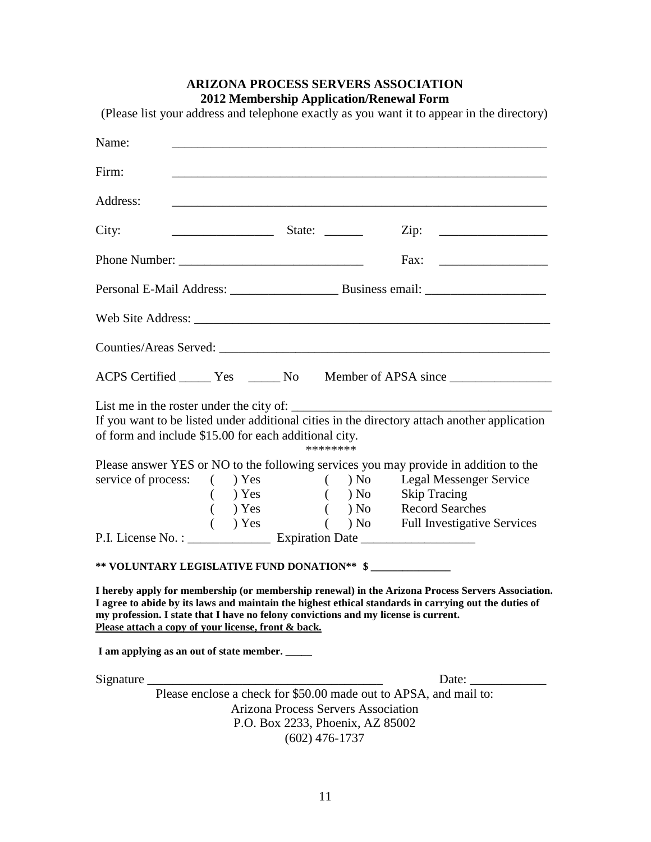# **ARIZONA PROCESS SERVERS ASSOCIATION 2012 Membership Application/Renewal Form** (Please list your address and telephone exactly as you want it to appear in the directory) Name: \_\_\_\_\_\_\_\_\_\_\_\_\_\_\_\_\_\_\_\_\_\_\_\_\_\_\_\_\_\_\_\_\_\_\_\_\_\_\_\_\_\_\_\_\_\_\_\_\_\_\_\_\_\_\_\_\_\_\_ Firm: \_\_\_\_\_\_\_\_\_\_\_\_\_\_\_\_\_\_\_\_\_\_\_\_\_\_\_\_\_\_\_\_\_\_\_\_\_\_\_\_\_\_\_\_\_\_\_\_\_\_\_\_\_\_\_\_\_\_\_ Address: \_\_\_\_\_\_\_\_\_\_\_\_\_\_\_\_\_\_\_\_\_\_\_\_\_\_\_\_\_\_\_\_\_\_\_\_\_\_\_\_\_\_\_\_\_\_\_\_\_\_\_\_\_\_\_\_\_\_\_ City:  $\rule{1em}{0.15mm}$   $\qquad$   $\qquad$   $\qquad$   $\qquad$   $\qquad$   $\qquad$   $\qquad$   $\qquad$   $\qquad$   $\qquad$   $\qquad$   $\qquad$   $\qquad$   $\qquad$   $\qquad$   $\qquad$   $\qquad$   $\qquad$   $\qquad$   $\qquad$   $\qquad$   $\qquad$   $\qquad$   $\qquad$   $\qquad$   $\qquad$   $\qquad$   $\qquad$   $\qquad$   $\qquad$   $\qquad$   $\qquad$   $\qquad$   $\$ Phone Number: \_\_\_\_\_\_\_\_\_\_\_\_\_\_\_\_\_\_\_\_\_\_\_\_\_\_\_\_\_ Fax: \_\_\_\_\_\_\_\_\_\_\_\_\_\_\_\_\_ Personal E-Mail Address: \_\_\_\_\_\_\_\_\_\_\_\_\_\_\_\_\_ Business email: \_\_\_\_\_\_\_\_\_\_\_\_\_\_\_\_\_\_\_ Web Site Address: \_\_\_\_\_\_\_\_\_\_\_\_\_\_\_\_\_\_\_\_\_\_\_\_\_\_\_\_\_\_\_\_\_\_\_\_\_\_\_\_\_\_\_\_\_\_\_\_\_\_\_\_\_\_\_\_ Counties/Areas Served: \_\_\_\_\_\_\_\_\_\_\_\_\_\_\_\_\_\_\_\_\_\_\_\_\_\_\_\_\_\_\_\_\_\_\_\_\_\_\_\_\_\_\_\_\_\_\_\_\_\_\_\_ ACPS Certified <u>Same Yes Community Note</u> Member of APSA since Service Community No. List me in the roster under the city of:  $\Box$ If you want to be listed under additional cities in the directory attach another application of form and include \$15.00 for each additional city. \*\*\*\*\*\*\*\* Please answer YES or NO to the following services you may provide in addition to the service of process: ( ) Yes ( ) No Legal Messenger Service ( ) Yes ( ) No Skip Tracing ( ) Yes ( ) No Skip Tracing ( ) Yes ( ) No Record Searches ( ) Yes ( ) No Full Investigative Services P.I. License No. : \_\_\_\_\_\_\_\_\_\_\_\_\_ Expiration Date \_\_\_\_\_\_\_\_\_\_\_\_\_\_\_\_\_\_ **\*\* VOLUNTARY LEGISLATIVE FUND DONATION\*\* \$ \_\_\_\_\_\_\_\_\_\_\_\_\_\_\_ I hereby apply for membership (or membership renewal) in the Arizona Process Servers Association. I agree to abide by its laws and maintain the highest ethical standards in carrying out the duties of my profession. I state that I have no felony convictions and my license is current. Please attach a copy of your license, front & back.** I am applying as an out of state member. Signature \_\_\_\_\_\_\_\_\_\_\_\_\_\_\_\_\_\_\_\_\_\_\_\_\_\_\_\_\_\_\_\_\_\_\_\_\_ Date: \_\_\_\_\_\_\_\_\_\_\_\_ Please enclose a check for \$50.00 made out to APSA, and mail to: Arizona Process Servers Association P.O. Box 2233, Phoenix, AZ 85002 (602) 476-1737